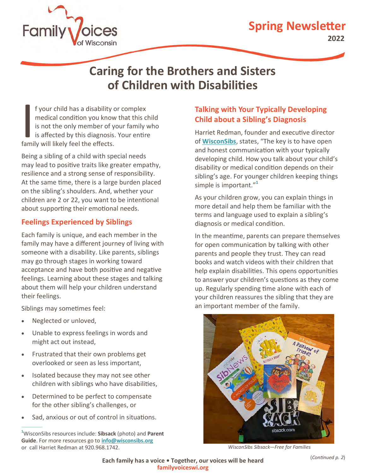



# **Caring for the Brothers and Sisters of Children with Disabilities**

I f your child has a disability c<br>medical condition you know<br>is not the only member of y-<br>is affected by this diagnosis.<br>family will likely feel the effects. f your child has a disability or complex medical condition you know that this child is not the only member of your family who is affected by this diagnosis. Your entire

Being a sibling of a child with special needs may lead to positive traits like greater empathy, resilience and a strong sense of responsibility. At the same time, there is a large burden placed on the sibling's shoulders. And, whether your children are 2 or 22, you want to be intentional about supporting their emotional needs.

#### **Feelings Experienced by Siblings**

Each family is unique, and each member in the family may have a different journey of living with someone with a disability. Like parents, siblings may go through stages in working toward acceptance and have both positive and negative feelings. Learning about these stages and talking about them will help your children understand their feelings.

Siblings may sometimes feel:

- Neglected or unloved,
- Unable to express feelings in words and might act out instead,
- Frustrated that their own problems get overlooked or seen as less important,
- Isolated because they may not see other children with siblings who have disabilities,
- Determined to be perfect to compensate for the other sibling's challenges, or
- Sad, anxious or out of control in situations.

### **Talking with Your Typically Developing Child about a Sibling's Diagnosis**

Harriet Redman, founder and executive director of **[WisconSibs](https://wisconsibs.org/what-we-offer/)**, states, "The key is to have open and honest communication with your typically developing child. How you talk about your child's disability or medical condition depends on their sibling's age. For younger children keeping things simple is important." **1**

As your children grow, you can explain things in more detail and help them be familiar with the terms and language used to explain a sibling's diagnosis or medical condition.

In the meantime, parents can prepare themselves for open communication by talking with other parents and people they trust. They can read books and watch videos with their children that help explain disabilities. This opens opportunities to answer your children's questions as they come up. Regularly spending time alone with each of your children reassures the sibling that they are an important member of the family.



*WisconSibs Sibsack—Free for Families*

**<sup>1</sup>**WisconSibs resources include: **Sibsack** (photo) and **Parent Guide**. For more resources go to **[info@wisconsibs.org](mailto:info@wisconsibs.org)** or call Harriet Redman at 920.968.1742.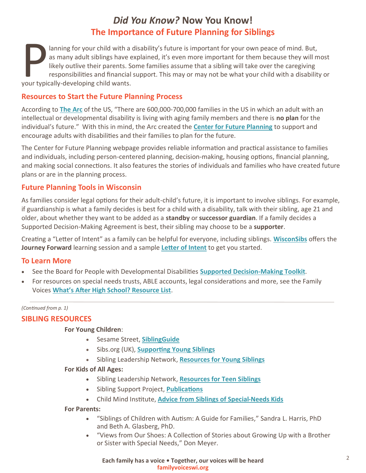## *Did You Know?* **Now You Know! The Importance of Future Planning for Siblings**

as many adult siblings have e<br>likely outlive their parents. So<br>responsibilities and financial<br>your typically-developing child wants. lanning for your child with a disability's future is important for your own peace of mind. But, as many adult siblings have explained, it's even more important for them because they will most likely outlive their parents. Some families assume that a sibling will take over the caregiving responsibilities and financial support. This may or may not be what your child with a disability or

#### **Resources to Start the Future Planning Process**

According to **[The Arc](https://thearc.org)** of the US, "There are 600,000-700,000 families in the US in which an adult with an intellectual or developmental disability is living with aging family members and there is **no plan** for the individual's future." With this in mind, the Arc created the **[Center for Future Planning](https://thearc.org/our-initiatives/future-planning/?_ga=2.166215482.507484902.1651094896-1102645644.1651094896)** to support and encourage adults with disabilities and their families to plan for the future.

The Center for Future Planning webpage provides reliable information and practical assistance to families and individuals, including person-centered planning, decision-making, housing options, financial planning, and making social connections. It also features the stories of individuals and families who have created future plans or are in the planning process.

#### **Future Planning Tools in Wisconsin**

As families consider legal options for their adult-child's future, it is important to involve siblings. For example, if guardianship is what a family decides is best for a child with a disability, talk with their sibling, age 21 and older, about whether they want to be added as a **standby** or **successor guardian**. If a family decides a Supported Decision-Making Agreement is best, their sibling may choose to be a **supporter**.

Creating a "Letter of Intent" as a family can be helpful for everyone, including siblings. **[WisconSibs](https://wisconsibs.org/what-we-offer/)** offers the **Journey Forward** learning session and a sample **[Letter of Intent](http://wisconsibs.org/wp-content/uploads/2018/03/WisconSibs_Journey_Forward_Letter_of_Intent.pdf)** to get you started.

#### **To Learn More**

- See the Board for People with Developmental Disabilities **[Supported Decision](http://wi-bpdd.org/index.php/supporteddecision-making/)-Making Toolkit**.
- For resources on special needs trusts, ABLE accounts, legal considerations and more, see the Family Voices **What'[s After High School? Resource List](https://familyvoiceswi.org/wp-content/uploads/2022/04/WAHS-Virtual-Learning-Links-Revised-Feb-2022-compress.pdf)**.

#### *(Continued from p. 1)*

#### **SIBLING RESOURCES**

#### **For Young Children**:

- Sesame Street, **[SiblingGuide](https://autism.sesamestreet.org/wp-content/uploads/2015/08/SiblingGuide.pdf?utm_source=autism&utm_medium=email&utm_campaign=2019_0514_Autism_Siblings&utm_content=card2-title)**
- Sibs.org (UK), **[Supporting Young Siblings](http://www.sibs.org.uk/supporting-young-siblings/)**
- Sibling Leadership Network, **[Resources for Young Siblings](https://siblingleadership.org/resources/resources-for-young-siblings/)**

#### **For Kids of All Ages:**

- Sibling Leadership Network, **[Resources for Teen Siblings](https://siblingleadership.org/resources/resources-for-teen-siblings/)**
- Sibling Support Project, **[Publications](https://siblingsupport.org/publications/)**
- Child Mind Institute, **[Advice from Siblings of Special](https://childmind.org/article/advice-siblings-of-special-needs-kids/)-Needs Kids**

#### **For Parents:**

- "Siblings of Children with Autism: A Guide for Families," Sandra L. Harris, PhD and Beth A. Glasberg, PhD.
- "Views from Our Shoes: A Collection of Stories about Growing Up with a Brother or Sister with Special Needs," Don Meyer.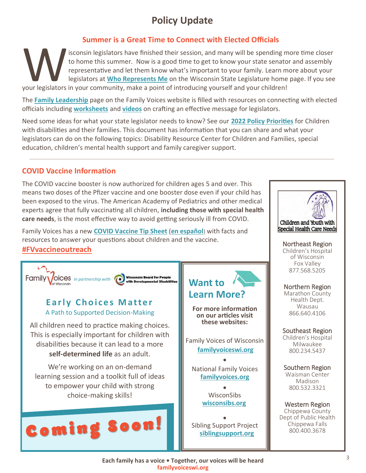# **Policy Update**

#### **Summer is a Great Time to Connect with Elected Officials**

Isconsin legislators have finished their session, and many will be spending m<br>to home this summer. Now is a good time to get to know your state senator<br>representative and let them know what's important to your family. Lear isconsin legislators have finished their session, and many will be spending more time closer to home this summer. Now is a good time to get to know your state senator and assembly representative and let them know what's important to your family. Learn more about your legislators at **[Who Represents Me](https://legis.wisconsin.gov/)** on the Wisconsin State Legislature home page. If you see

The **[Family Leadership](https://familyvoiceswi.org/family_leadership/)** page on the Family Voices website is filled with resources on connecting with elected officials including **[worksheets](https://familyvoiceswi.org/wp-content/uploads/2022/05/Develop-Message-Blank-and-Examples-2022-compress.pdf)** and **[videos](https://www.youtube.com/watch?v=jx-fpeuoHuY)** on crafting an effective message for legislators.

Need some ideas for what your state legislator needs to know? See our **[2022 Policy Priorities](https://familyvoiceswi.org/wp-content/uploads/2022/03/AFC-2022-Leave-Behind-3.18.22-compress.pdf)** for Children with disabilities and their families. This document has information that you can share and what your legislators can do on the following topics: Disability Resource Center for Children and Families, special education, children's mental health support and family caregiver support.

#### **COVID Vaccine Information**

The COVID vaccine booster is now authorized for children ages 5 and over. This means two doses of the Pfizer vaccine and one booster dose even if your child has been exposed to the virus. The American Academy of Pediatrics and other medical experts agree that fully vaccinating all children, **including those with special health care needs**, is the most effective way to avoid getting seriously ill from COVID.

Family Voices has a new **[COVID Vaccine Tip Sheet](https://familyvoiceswi.org/wp-content/uploads/2022/05/COVID-Vaccine-Tip-Sheet-compress.pdf)** (**[en español](https://familyvoiceswi.org/wp-content/uploads/2022/05/COVID-Vaccine-Tip-Sheet-Spanish-Version-compress.pdf)**) with facts and resources to answer your questions about children and the vaccine. **[#FVvaccineoutreach](https://www.facebook.com/hashtag/fvvaccineoutreach)**







Dept of Public Health Chippewa Falls 800.400.3678